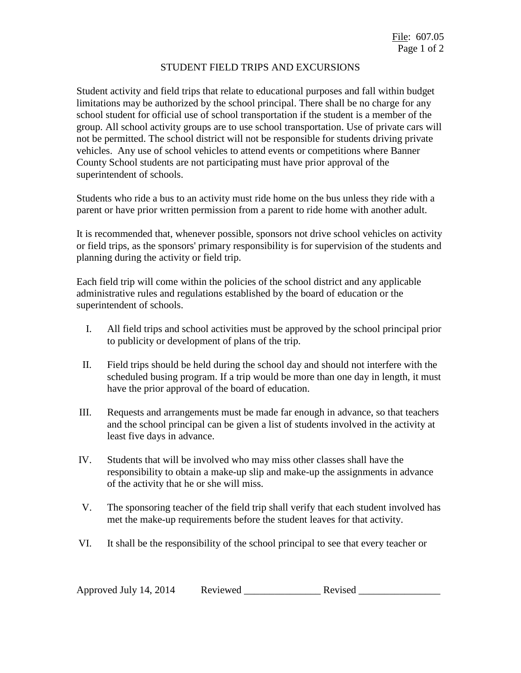## STUDENT FIELD TRIPS AND EXCURSIONS

Student activity and field trips that relate to educational purposes and fall within budget limitations may be authorized by the school principal. There shall be no charge for any school student for official use of school transportation if the student is a member of the group. All school activity groups are to use school transportation. Use of private cars will not be permitted. The school district will not be responsible for students driving private vehicles. Any use of school vehicles to attend events or competitions where Banner County School students are not participating must have prior approval of the superintendent of schools.

Students who ride a bus to an activity must ride home on the bus unless they ride with a parent or have prior written permission from a parent to ride home with another adult.

It is recommended that, whenever possible, sponsors not drive school vehicles on activity or field trips, as the sponsors' primary responsibility is for supervision of the students and planning during the activity or field trip.

Each field trip will come within the policies of the school district and any applicable administrative rules and regulations established by the board of education or the superintendent of schools.

- I. All field trips and school activities must be approved by the school principal prior to publicity or development of plans of the trip.
- II. Field trips should be held during the school day and should not interfere with the scheduled busing program. If a trip would be more than one day in length, it must have the prior approval of the board of education.
- III. Requests and arrangements must be made far enough in advance, so that teachers and the school principal can be given a list of students involved in the activity at least five days in advance.
- IV. Students that will be involved who may miss other classes shall have the responsibility to obtain a make-up slip and make-up the assignments in advance of the activity that he or she will miss.
- V. The sponsoring teacher of the field trip shall verify that each student involved has met the make-up requirements before the student leaves for that activity.
- VI. It shall be the responsibility of the school principal to see that every teacher or

| Approved July 14, 2014 | Reviewed | Revised |  |
|------------------------|----------|---------|--|
|                        |          |         |  |